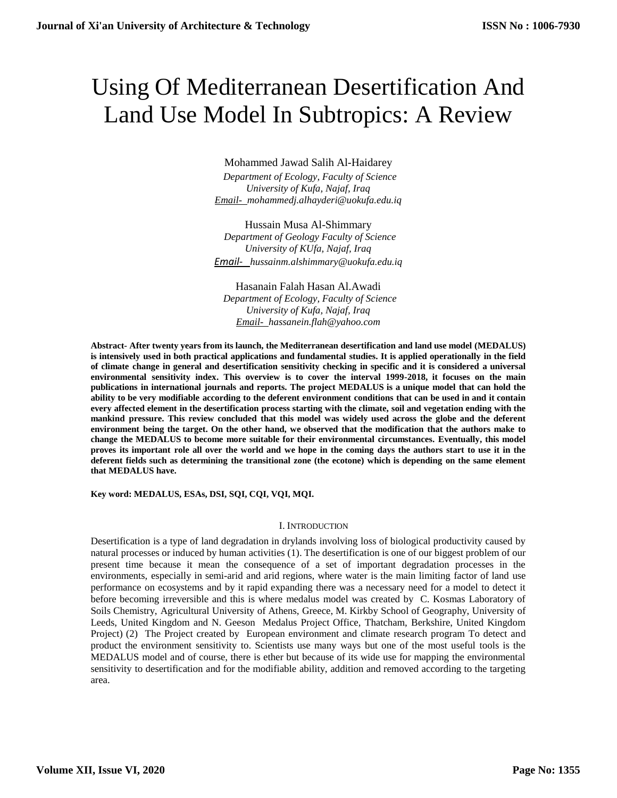# Using Of Mediterranean Desertification And Land Use Model In Subtropics: A Review

## Mohammed Jawad Salih Al-Haidarey

 *Department of Ecology, Faculty of Science University of Kufa, Najaf, Iraq [Email- mohammedj.alhayderi@uokufa.edu.iq](mailto:Email-%20%20%20anuradhamit@gmail.com)*

Hussain Musa Al-Shimmary  *Department of Geology Faculty of Science University of KUfa, Najaf, Iraq Email- [hussainm.alshimmary@uokufa.edu.iq](mailto:Email-%20%20%20anuradhamit@gmail.com)*

Hasanain Falah Hasan Al.Awadi  *Department of Ecology, Faculty of Science University of Kufa, Najaf, Iraq [Email- hassanein.flah@yahoo.com](mailto:Email-%20%20%20anuradhamit@gmail.com)*

**Abstract- After twenty years from its launch, the Mediterranean desertification and land use model (MEDALUS) is intensively used in both practical applications and fundamental studies. It is applied operationally in the field of climate change in general and desertification sensitivity checking in specific and it is considered a universal environmental sensitivity index. This overview is to cover the interval 1999-2018, it focuses on the main publications in international journals and reports. The project MEDALUS is a unique model that can hold the ability to be very modifiable according to the deferent environment conditions that can be used in and it contain every affected element in the desertification process starting with the climate, soil and vegetation ending with the mankind pressure. This review concluded that this model was widely used across the globe and the deferent environment being the target. On the other hand, we observed that the modification that the authors make to change the MEDALUS to become more suitable for their environmental circumstances. Eventually, this model proves its important role all over the world and we hope in the coming days the authors start to use it in the deferent fields such as determining the transitional zone (the ecotone) which is depending on the same element that MEDALUS have.** 

**Key word: MEDALUS, ESAs, DSI, SQI, CQI, VQI, MQI.**

### I. INTRODUCTION

Desertification is a type of land degradation in drylands involving loss of biological productivity caused by natural processes or induced by human activities (1). The desertification is one of our biggest problem of our present time because it mean the consequence of a set of important degradation processes in the environments, especially in semi-arid and arid regions, where water is the main limiting factor of land use performance on ecosystems and by it rapid expanding there was a necessary need for a model to detect it before becoming irreversible and this is where medalus model was created by C. Kosmas Laboratory of Soils Chemistry, Agricultural University of Athens, Greece, M. Kirkby School of Geography, University of Leeds, United Kingdom and N. Geeson Medalus Project Office, Thatcham, Berkshire, United Kingdom Project) (2) The Project created by European environment and climate research program To detect and product the environment sensitivity to. Scientists use many ways but one of the most useful tools is the MEDALUS model and of course, there is ether but because of its wide use for mapping the environmental sensitivity to desertification and for the modifiable ability, addition and removed according to the targeting area.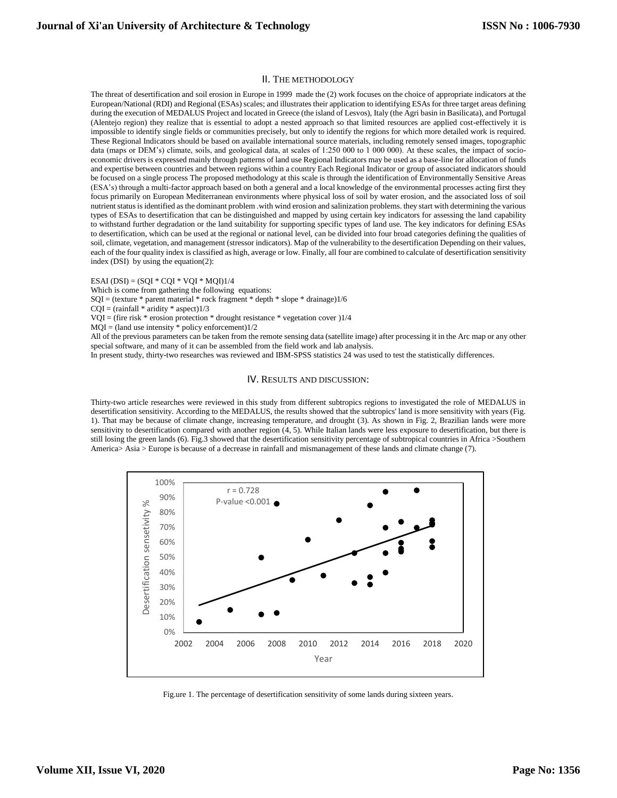#### II. THE METHODOLOGY

The threat of desertification and soil erosion in Europe in 1999 made the (2) work focuses on the choice of appropriate indicators at the European/National (RDI) and Regional (ESAs) scales; and illustrates their application to identifying ESAs for three target areas defining during the execution of MEDALUS Project and located in Greece (the island of Lesvos), Italy (the Agri basin in Basilicata), and Portugal (Alentejo region) they realize that is essential to adopt a nested approach so that limited resources are applied cost-effectively it is impossible to identify single fields or communities precisely, but only to identify the regions for which more detailed work is required. These Regional Indicators should be based on available international source materials, including remotely sensed images, topographic data (maps or DEM's) climate, soils, and geological data, at scales of 1:250 000 to 1 000 000). At these scales, the impact of socioeconomic drivers is expressed mainly through patterns of land use Regional Indicators may be used as a base-line for allocation of funds and expertise between countries and between regions within a country Each Regional Indicator or group of associated indicators should be focused on a single process The proposed methodology at this scale is through the identification of Environmentally Sensitive Areas (ESA's) through a multi-factor approach based on both a general and a local knowledge of the environmental processes acting first they focus primarily on European Mediterranean environments where physical loss of soil by water erosion, and the associated loss of soil nutrient status is identified as the dominant problem .with wind erosion and salinization problems. they start with determining the various types of ESAs to desertification that can be distinguished and mapped by using certain key indicators for assessing the land capability to withstand further degradation or the land suitability for supporting specific types of land use. The key indicators for defining ESAs to desertification, which can be used at the regional or national level, can be divided into four broad categories defining the qualities of soil, climate, vegetation, and management (stressor indicators). Map of the vulnerability to the desertification Depending on their values, each of the four quality index is classified as high, average or low. Finally, all four are combined to calculate of desertification sensitivity index (DSI) by using the equation(2):

ESAI (DSI) = (SQI  $*$  CQI  $*$  VQI  $*$  MQI)1/4

Which is come from gathering the following equations:

SQI = (texture \* parent material \* rock fragment \* depth \* slope \* drainage)1/6

 $CQI = (rainfall * aridity * aspect)1/3$ 

 $VQI = (fire risk * erosion protection * drought resistance * vegetation cover)1/4$ 

 $MQI = (land use intensity * policy enforcement)1/2$ 

All of the previous parameters can be taken from the remote sensing data (satellite image) after processing it in the Arc map or any other special software, and many of it can be assembled from the field work and lab analysis.

In present study, thirty-two researches was reviewed and IBM-SPSS statistics 24 was used to test the statistically differences.

#### IV. RESULTS AND DISCUSSION:

Thirty-two article researches were reviewed in this study from different subtropics regions to investigated the role of MEDALUS in desertification sensitivity. According to the MEDALUS, the results showed that the subtropics' land is more sensitivity with years (Fig. 1). That may be because of climate change, increasing temperature, and drought (3). As shown in Fig. 2, Brazilian lands were more sensitivity to desertification compared with another region (4, 5). While Italian lands were less exposure to desertification, but there is still losing the green lands (6). Fig.3 showed that the desertification sensitivity percentage of subtropical countries in Africa >Southern America> Asia > Europe is because of a decrease in rainfall and mismanagement of these lands and climate change (7).



Fig.ure 1. The percentage of desertification sensitivity of some lands during sixteen years.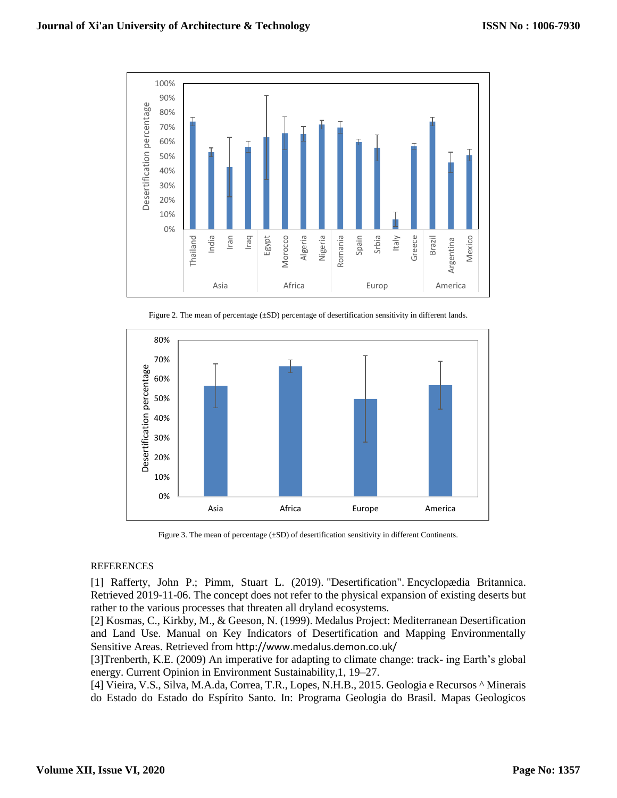

Figure 2. The mean of percentage (±SD) percentage of desertification sensitivity in different lands.



Figure 3. The mean of percentage ( $\pm$ SD) of desertification sensitivity in different Continents.

## REFERENCES

[1] Rafferty, John P.; Pimm, Stuart L. (2019). ["Desertification".](https://www.britannica.com/science/desertification) [Encyclopædia Britannica.](https://worddisk.com/wiki/Encyclop%C3%A6dia_Britannica) Retrieved 2019-11-06. The concept does not refer to the physical expansion of existing deserts but rather to the various processes that threaten all dryland ecosystems.

[2] Kosmas, C., Kirkby, M., & Geeson, N. (1999). Medalus Project: Mediterranean Desertification and Land Use. Manual on Key Indicators of Desertification and Mapping Environmentally Sensitive Areas. Retrieved from <http://www.medalus.demon.co.uk/>

[3]Trenberth, K.E. (2009) An imperative for adapting to climate change: track- ing Earth's global energy. Current Opinion in Environment Sustainability,1, 19–27.

[4] Vieira, V.S., Silva, M.A.da, Correa, T.R., Lopes, N.H.B., 2015. Geologia e Recursos ^ Minerais do Estado do Estado do Espírito Santo. In: Programa Geologia do Brasil. Mapas Geologicos